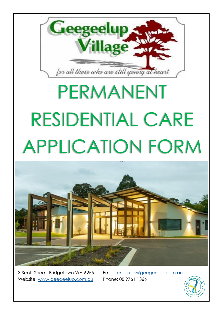

# PERMANENT RESIDENTIAL CARE APPLICATION FORM



3 Scott Street, Bridgetown WA 6255 Email: [enquiries@geegeelup.com.au](mailto:enquiries@geegeelup.com.au) Website: [www.geegeelup.com.au](http://www.geegeelup.com.au) Phone: 08 9761 1366

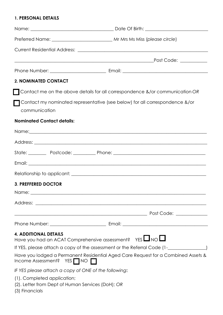#### **1. PERSONAL DETAILS**

| 2. NOMINATED CONTACT                                                                                                                                           |                                                                                   |
|----------------------------------------------------------------------------------------------------------------------------------------------------------------|-----------------------------------------------------------------------------------|
|                                                                                                                                                                | Contact me on the above details for all correspondence &/or communication OR      |
| communication                                                                                                                                                  | Contact my nominated representative (see below) for all correspondence &/or       |
| <b>Nominated Contact details:</b>                                                                                                                              |                                                                                   |
|                                                                                                                                                                | Name: Name:                                                                       |
|                                                                                                                                                                |                                                                                   |
|                                                                                                                                                                |                                                                                   |
|                                                                                                                                                                |                                                                                   |
|                                                                                                                                                                |                                                                                   |
| <b>3. PREFFERED DOCTOR</b>                                                                                                                                     |                                                                                   |
|                                                                                                                                                                |                                                                                   |
|                                                                                                                                                                |                                                                                   |
|                                                                                                                                                                |                                                                                   |
|                                                                                                                                                                |                                                                                   |
| <b>4. ADDITIONAL DETAILS</b>                                                                                                                                   | Have you had an ACAT Comprehensive assessment? $YES$ $\Box$ NO $\Box$             |
|                                                                                                                                                                |                                                                                   |
| Income Assessment? YES NO                                                                                                                                      | Have you lodged a Permanent Residential Aged Care Request for a Combined Assets & |
| IF YES please attach a copy of ONE of the following:                                                                                                           |                                                                                   |
| (1). Completed application;<br>(2). Letter from Dept of Human Services (DoH); OR<br>$(2)$ $\Gamma$ $\approx$ $\approx$ $\approx$ $\approx$ $\approx$ $\approx$ |                                                                                   |

(3) Financials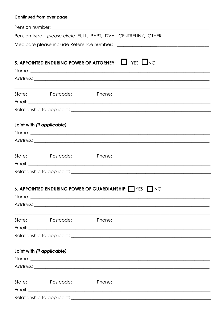### Continued from over page

|                            |                                                                            | Pension type: please circle FULL, PART, DVA, CENTRELINK, OTHER                                                                                                                                                                       |
|----------------------------|----------------------------------------------------------------------------|--------------------------------------------------------------------------------------------------------------------------------------------------------------------------------------------------------------------------------------|
|                            |                                                                            |                                                                                                                                                                                                                                      |
|                            |                                                                            |                                                                                                                                                                                                                                      |
|                            |                                                                            | 5. APPOINTED ENDURING POWER OF ATTORNEY: $\Box$ YES $\Box$ NO                                                                                                                                                                        |
|                            |                                                                            |                                                                                                                                                                                                                                      |
|                            |                                                                            |                                                                                                                                                                                                                                      |
|                            |                                                                            | ,我们也不能在这里的时候,我们也不能在这里的时候,我们也不能不能不能不能不能不能不能不能不能不能不能不能不能不能不能。""我们不能不能不能不能不能不能不能不能不能                                                                                                                                                    |
|                            |                                                                            |                                                                                                                                                                                                                                      |
|                            |                                                                            | Email: <u>Alexandre Communication of the Communication of the Communication of the Communication of the Communication of the Communication of the Communication of the Communication of the Communication of the Communication o</u> |
|                            |                                                                            |                                                                                                                                                                                                                                      |
| Joint with (if applicable) |                                                                            |                                                                                                                                                                                                                                      |
|                            |                                                                            |                                                                                                                                                                                                                                      |
|                            |                                                                            |                                                                                                                                                                                                                                      |
|                            |                                                                            | <u> 1989 - Johann Stoff, amerikansk politiker (d. 1989)</u>                                                                                                                                                                          |
|                            |                                                                            |                                                                                                                                                                                                                                      |
|                            |                                                                            |                                                                                                                                                                                                                                      |
|                            |                                                                            |                                                                                                                                                                                                                                      |
|                            |                                                                            |                                                                                                                                                                                                                                      |
|                            |                                                                            | 6. APPOINTED ENDURING POWER OF GUARDIANSHIP: VES NO                                                                                                                                                                                  |
|                            |                                                                            |                                                                                                                                                                                                                                      |
|                            |                                                                            |                                                                                                                                                                                                                                      |
|                            |                                                                            |                                                                                                                                                                                                                                      |
|                            |                                                                            | State: Postcode: Prome: Phone: Phone: 2008 Phone: 2008 Phone: 2008 Phone: 2008 Phone: 2008 Phone: 2008 Phone: 2008 Phone: 2008 Phone: 2008 Phone: 2008 Phone: 2008 Phone: 2008 Phone: 2008 Phone: 2008 Phone: 2008 Phone: 2008       |
|                            |                                                                            | Email: <u>Alexander Alexander Alexander Alexander Alexander Alexander Alexander Alexander Alexander Alexander Alex</u>                                                                                                               |
|                            |                                                                            |                                                                                                                                                                                                                                      |
| Joint with (if applicable) |                                                                            |                                                                                                                                                                                                                                      |
|                            |                                                                            |                                                                                                                                                                                                                                      |
|                            |                                                                            |                                                                                                                                                                                                                                      |
|                            | the control of the control of the control of the control of the control of |                                                                                                                                                                                                                                      |
|                            |                                                                            |                                                                                                                                                                                                                                      |
|                            |                                                                            |                                                                                                                                                                                                                                      |
|                            |                                                                            |                                                                                                                                                                                                                                      |